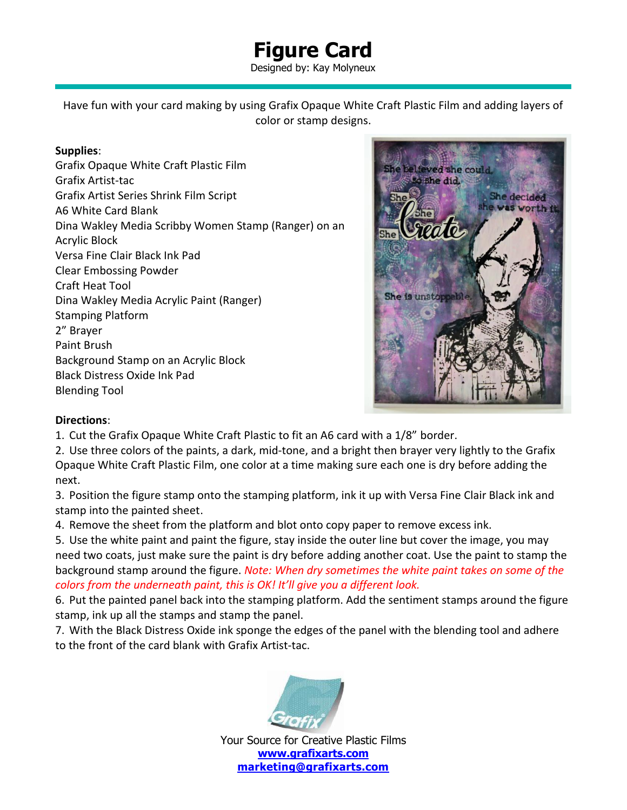## **Figure Card**

Designed by: Kay Molyneux

Have fun with your card making by using Grafix Opaque White Craft Plastic Film and adding layers of color or stamp designs.

## **Supplies**:

Grafix Opaque White Craft Plastic Film Grafix Artist-tac Grafix Artist Series Shrink Film Script A6 White Card Blank Dina Wakley Media Scribby Women Stamp (Ranger) on an Acrylic Block Versa Fine Clair Black Ink Pad Clear Embossing Powder Craft Heat Tool Dina Wakley Media Acrylic Paint (Ranger) Stamping Platform 2" Brayer Paint Brush Background Stamp on an Acrylic Block Black Distress Oxide Ink Pad Blending Tool



## **Directions**:

1. Cut the Grafix Opaque White Craft Plastic to fit an A6 card with a 1/8" border.

2. Use three colors of the paints, a dark, mid-tone, and a bright then brayer very lightly to the Grafix Opaque White Craft Plastic Film, one color at a time making sure each one is dry before adding the next.

3. Position the figure stamp onto the stamping platform, ink it up with Versa Fine Clair Black ink and stamp into the painted sheet.

4. Remove the sheet from the platform and blot onto copy paper to remove excess ink.

5. Use the white paint and paint the figure, stay inside the outer line but cover the image, you may need two coats, just make sure the paint is dry before adding another coat. Use the paint to stamp the background stamp around the figure. *Note: When dry sometimes the white paint takes on some of the colors from the underneath paint, this is OK! It'll give you a different look.*

6. Put the painted panel back into the stamping platform. Add the sentiment stamps around the figure stamp, ink up all the stamps and stamp the panel.

7. With the Black Distress Oxide ink sponge the edges of the panel with the blending tool and adhere to the front of the card blank with Grafix Artist-tac.



Your Source for Creative Plastic Films **[www.grafixarts.com](http://www.grafixarts.com/) [marketing@grafixarts.com](mailto:marketing@grafixarts.com)**